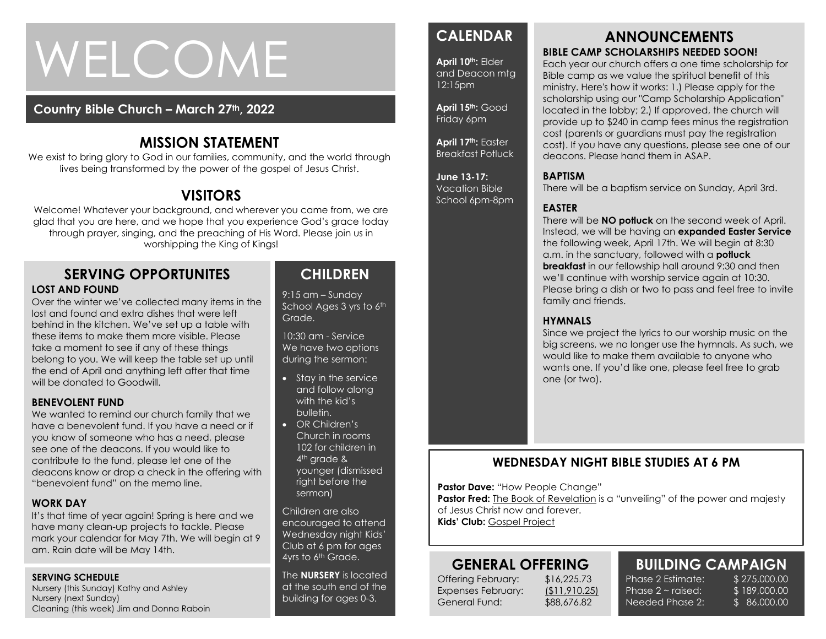# WELCOME

### **Country Bible Church – March 27th, 2022**

## **MISSION STATEMENT**

We exist to bring glory to God in our families, community, and the world through lives being transformed by the power of the gospel of Jesus Christ.

## **VISITORS**

Welcome! Whatever your background, and wherever you came from, we are glad that you are here, and we hope that you experience God's grace today through prayer, singing, and the preaching of His Word. Please join us in worshipping the King of Kings!

#### **SERVING OPPORTUNITES LOST AND FOUND**

the end of April and anything left after that time<br>will be donated to Goodwill Over the winter we've collected many items in the lost and found and extra dishes that were left behind in the kitchen. We've set up a table with these items to make them more visible. Please take a moment to see if any of these things belong to you. We will keep the table set up until will be donated to Goodwill.

#### **BENEVOLENT FUND**

We wanted to remind our church family that we have a benevolent fund. If you have a need or if you know of someone who has a need, please see one of the deacons. If you would like to contribute to the fund, please let one of the deacons know or drop a check in the offering with "benevolent fund" on the memo line.

#### **WORK DAY**

It's that time of year again! Spring is here and we have many clean-up projects to tackle. Please mark your calendar for May 7th. We will begin at 9 am. Rain date will be May 14th.

#### **SERVING SCHEDULE**

Nursery (this Sunday) Kathy and Ashley Nursery (next Sunday) Cleaning (this week) Jim and Donna Raboin

## **CHILDREN**

9:15 am – Sunday School Ages 3 yrs to 6th Grade.

10:30 am - Service We have two options during the sermon:

- Stay in the service and follow along with the kid's bulletin.
- OR Children's Church in rooms 102 for children in 4<sup>th</sup> grade & younger (dismissed right before the sermon)

Children are also encouraged to attend Wednesday night Kids' Club at 6 pm for ages 4yrs to 6<sup>th</sup> Grade.

The **NURSERY** is located at the south end of the building for ages 0-3.

## **CALENDAR**

**April 10th:** Elder and Deacon mtg 12:15pm

**April 15th:** Good Friday 6pm

**April 17th:** Easter Breakfast Potluck

**June 13-17:**  Vacation Bible School 6pm-8pm

#### **ANNOUNCEMENTS BIBLE CAMP SCHOLARSHIPS NEEDED SOON!**

Each year our church offers a one time scholarship for Bible camp as we value the spiritual benefit of this ministry. Here's how it works: 1.) Please apply for the scholarship using our "Camp Scholarship Application" located in the lobby; 2.) If approved, the church will provide up to \$240 in camp fees minus the registration cost (parents or guardians must pay the registration cost). If you have any questions, please see one of our deacons. Please hand them in ASAP.

#### **BAPTISM**

There will be a baptism service on Sunday, April 3rd.

#### **EASTER**

There will be **NO potluck** on the second week of April. Instead, we will be having an **expanded Easter Service** the following week, April 17th. We will begin at 8:30 a.m. in the sanctuary, followed with a **potluck breakfast** in our fellowship hall around 9:30 and then we'll continue with worship service again at 10:30. Please bring a dish or two to pass and feel free to invite family and friends.

#### **HYMNALS**

Since we project the lyrics to our worship music on the big screens, we no longer use the hymnals. As such, we would like to make them available to anyone who wants one. If you'd like one, please feel free to grab one (or two).

## **WEDNESDAY NIGHT BIBLE STUDIES AT 6 PM**

**Pastor Dave: "How People Change"** 

**Pastor Fred:** The Book of Revelation is a "unveiling" of the power and majesty of Jesus Christ now and forever. **Kids' Club:** Gospel Project

## **GENERAL OFFERING**

Offering February: \$16,225.73 Expenses February: (\$11,910.25) General Fund: \$88,676.82

**BUILDING CAMPAIGN**

Phase 2 Estimate: \$275,000.00 Phase  $2 \sim$  raised: Needed Phase 2:

\$ 189,000.00 \$ 86,000.00